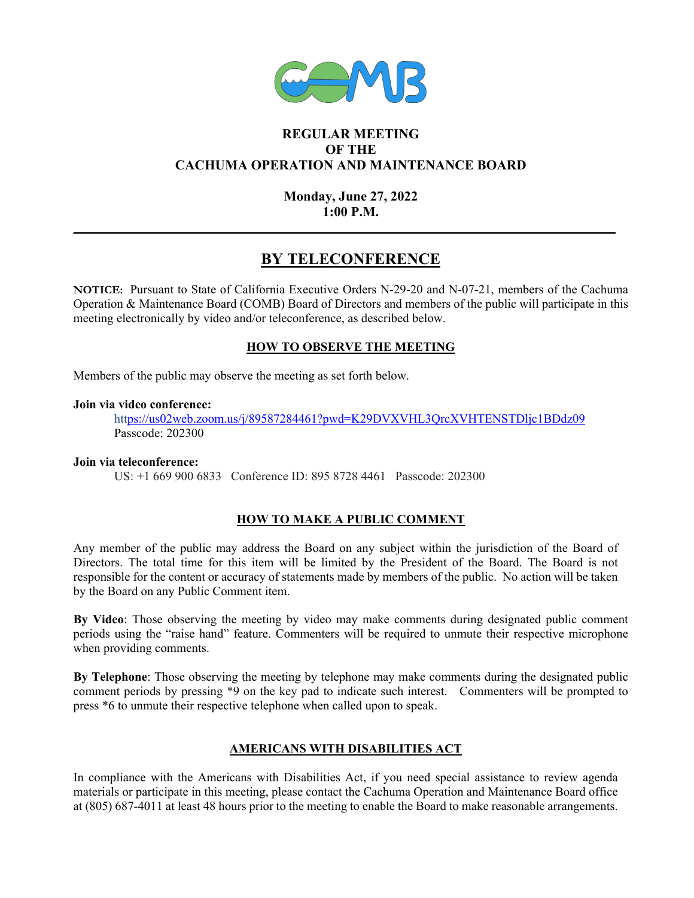

## **REGULAR MEETING OF THE CACHUMA OPERATION AND MAINTENANCE BOARD**

## **Monday, June 27, 2022 1:00 P.M.**

**\_\_\_\_\_\_\_\_\_\_\_\_\_\_\_\_\_\_\_\_\_\_\_\_\_\_\_\_\_\_\_\_\_\_\_\_\_\_\_\_\_\_\_\_\_\_\_\_\_\_\_\_\_\_\_\_\_\_\_\_\_\_\_\_\_\_\_\_\_\_\_\_\_\_\_\_\_\_\_\_\_\_\_\_\_\_\_** 

# **BY TELECONFERENCE**

**NOTICE:** Pursuant to State of California Executive Orders N-29-20 and N-07-21, members of the Cachuma Operation & Maintenance Board (COMB) Board of Directors and members of the public will participate in this meeting electronically by video and/or teleconference, as described below.

### **HOW TO OBSERVE THE MEETING**

Members of the public may observe the meeting as set forth below.

#### **Join via video conference:**

https://us02web.zoom.us/j/89587284461?pwd=K29DVXVHL3QrcXVHTENSTDljc1BDdz09 Passcode: 202300

### **Join via teleconference:**

US: +1 669 900 6833 Conference ID: 895 8728 4461 Passcode: 202300

## **HOW TO MAKE A PUBLIC COMMENT**

Any member of the public may address the Board on any subject within the jurisdiction of the Board of Directors. The total time for this item will be limited by the President of the Board. The Board is not responsible for the content or accuracy of statements made by members of the public. No action will be taken by the Board on any Public Comment item.

**By Video**: Those observing the meeting by video may make comments during designated public comment periods using the "raise hand" feature. Commenters will be required to unmute their respective microphone when providing comments.

**By Telephone**: Those observing the meeting by telephone may make comments during the designated public comment periods by pressing \*9 on the key pad to indicate such interest. Commenters will be prompted to press \*6 to unmute their respective telephone when called upon to speak.

## **AMERICANS WITH DISABILITIES ACT**

In compliance with the Americans with Disabilities Act, if you need special assistance to review agenda materials or participate in this meeting, please contact the Cachuma Operation and Maintenance Board office at (805) 687-4011 at least 48 hours prior to the meeting to enable the Board to make reasonable arrangements.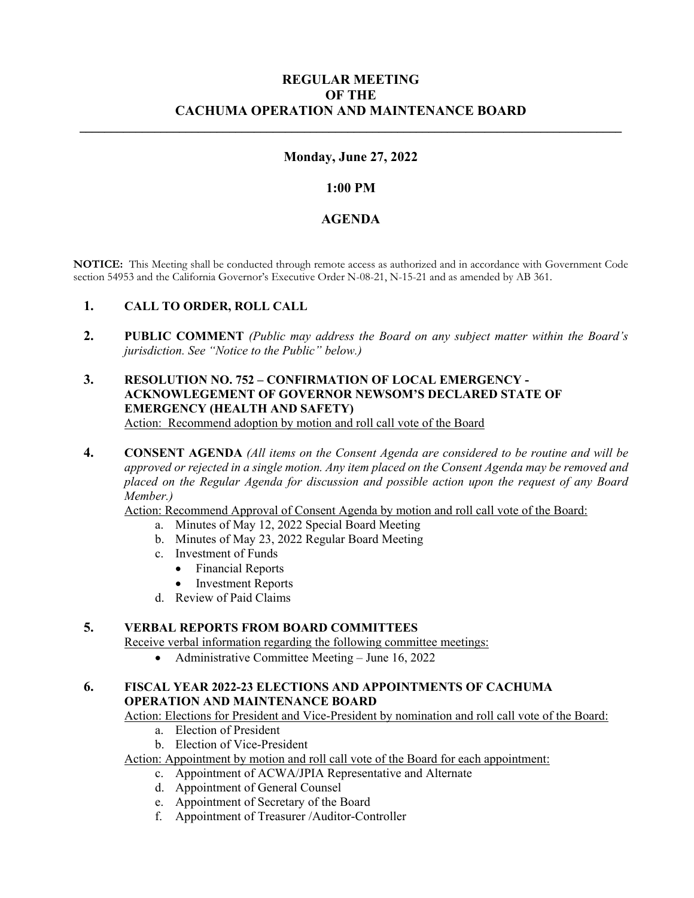## **REGULAR MEETING OF THE CACHUMA OPERATION AND MAINTENANCE BOARD**

### **Monday, June 27, 2022**

**\_\_\_\_\_\_\_\_\_\_\_\_\_\_\_\_\_\_\_\_\_\_\_\_\_\_\_\_\_\_\_\_\_\_\_\_\_\_\_\_\_\_\_\_\_\_\_\_\_\_\_\_\_\_\_\_\_\_\_\_\_\_\_\_\_\_\_\_\_\_\_\_\_\_\_\_\_\_\_\_\_\_\_\_\_\_\_** 

### **1:00 PM**

#### **AGENDA**

**NOTICE:** This Meeting shall be conducted through remote access as authorized and in accordance with Government Code section 54953 and the California Governor's Executive Order N-08-21, N-15-21 and as amended by AB 361.

### **1. CALL TO ORDER, ROLL CALL**

**2. PUBLIC COMMENT** *(Public may address the Board on any subject matter within the Board's jurisdiction. See "Notice to the Public" below.)* 

#### **3. RESOLUTION NO. 752 – CONFIRMATION OF LOCAL EMERGENCY - ACKNOWLEGEMENT OF GOVERNOR NEWSOM'S DECLARED STATE OF EMERGENCY (HEALTH AND SAFETY)** Action: Recommend adoption by motion and roll call vote of the Board

**4. CONSENT AGENDA** *(All items on the Consent Agenda are considered to be routine and will be approved or rejected in a single motion. Any item placed on the Consent Agenda may be removed and placed on the Regular Agenda for discussion and possible action upon the request of any Board Member.)* 

Action: Recommend Approval of Consent Agenda by motion and roll call vote of the Board:

- a. Minutes of May 12, 2022 Special Board Meeting
- b. Minutes of May 23, 2022 Regular Board Meeting
- c. Investment of Funds
	- Financial Reports
	- Investment Reports
- d. Review of Paid Claims

#### **5. VERBAL REPORTS FROM BOARD COMMITTEES**

Receive verbal information regarding the following committee meetings:

• Administrative Committee Meeting – June 16, 2022

### **6. FISCAL YEAR 2022-23 ELECTIONS AND APPOINTMENTS OF CACHUMA OPERATION AND MAINTENANCE BOARD**

Action: Elections for President and Vice-President by nomination and roll call vote of the Board:

- a. Election of President
- b. Election of Vice-President

Action: Appointment by motion and roll call vote of the Board for each appointment:

- c. Appointment of ACWA/JPIA Representative and Alternate
- d. Appointment of General Counsel
- e. Appointment of Secretary of the Board
- f. Appointment of Treasurer /Auditor-Controller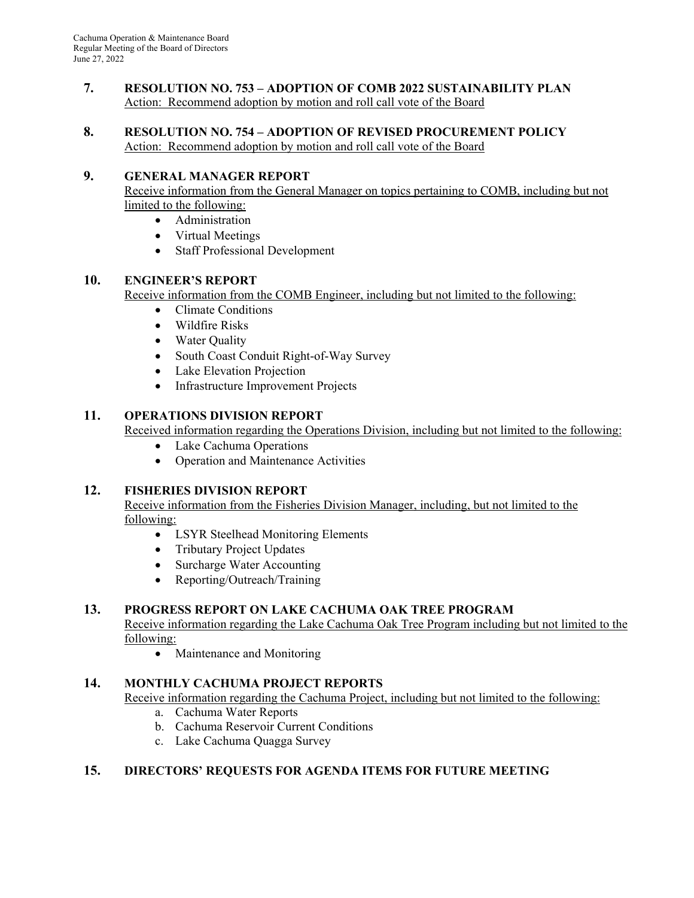#### **7. RESOLUTION NO. 753 – ADOPTION OF COMB 2022 SUSTAINABILITY PLAN**  Action: Recommend adoption by motion and roll call vote of the Board

#### **8. RESOLUTION NO. 754 – ADOPTION OF REVISED PROCUREMENT POLICY**  Action: Recommend adoption by motion and roll call vote of the Board

## **9. GENERAL MANAGER REPORT**

Receive information from the General Manager on topics pertaining to COMB, including but not limited to the following:

- Administration
- Virtual Meetings
- Staff Professional Development

### **10. ENGINEER'S REPORT**

Receive information from the COMB Engineer, including but not limited to the following:

- Climate Conditions
	- Wildfire Risks
	- Water Quality
	- South Coast Conduit Right-of-Way Survey
	- Lake Elevation Projection
	- Infrastructure Improvement Projects

#### **11. OPERATIONS DIVISION REPORT**

Received information regarding the Operations Division, including but not limited to the following:

- Lake Cachuma Operations
- Operation and Maintenance Activities

### **12. FISHERIES DIVISION REPORT**

Receive information from the Fisheries Division Manager, including, but not limited to the following:

- LSYR Steelhead Monitoring Elements
- Tributary Project Updates
- Surcharge Water Accounting
- Reporting/Outreach/Training

### **13. PROGRESS REPORT ON LAKE CACHUMA OAK TREE PROGRAM**

Receive information regarding the Lake Cachuma Oak Tree Program including but not limited to the following:

• Maintenance and Monitoring

### **14. MONTHLY CACHUMA PROJECT REPORTS**

Receive information regarding the Cachuma Project, including but not limited to the following:

- a. Cachuma Water Reports
- b. Cachuma Reservoir Current Conditions
- c. Lake Cachuma Quagga Survey

### **15. DIRECTORS' REQUESTS FOR AGENDA ITEMS FOR FUTURE MEETING**